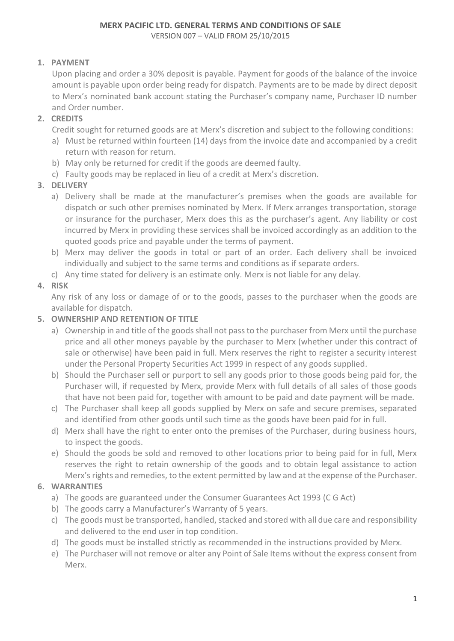# **1. PAYMENT**

Upon placing and order a 30% deposit is payable. Payment for goods of the balance of the invoice amount is payable upon order being ready for dispatch. Payments are to be made by direct deposit to Merx's nominated bank account stating the Purchaser's company name, Purchaser ID number and Order number.

# **2. CREDITS**

- Credit sought for returned goods are at Merx's discretion and subject to the following conditions:
- a) Must be returned within fourteen (14) days from the invoice date and accompanied by a credit return with reason for return.
- b) May only be returned for credit if the goods are deemed faulty.
- c) Faulty goods may be replaced in lieu of a credit at Merx's discretion.

# **3. DELIVERY**

- a) Delivery shall be made at the manufacturer's premises when the goods are available for dispatch or such other premises nominated by Merx. If Merx arranges transportation, storage or insurance for the purchaser, Merx does this as the purchaser's agent. Any liability or cost incurred by Merx in providing these services shall be invoiced accordingly as an addition to the quoted goods price and payable under the terms of payment.
- b) Merx may deliver the goods in total or part of an order. Each delivery shall be invoiced individually and subject to the same terms and conditions as if separate orders.
- c) Any time stated for delivery is an estimate only. Merx is not liable for any delay.

# **4. RISK**

Any risk of any loss or damage of or to the goods, passes to the purchaser when the goods are available for dispatch.

# **5. OWNERSHIP AND RETENTION OF TITLE**

- a) Ownership in and title of the goods shall not pass to the purchaser from Merx until the purchase price and all other moneys payable by the purchaser to Merx (whether under this contract of sale or otherwise) have been paid in full. Merx reserves the right to register a security interest under the Personal Property Securities Act 1999 in respect of any goods supplied.
- b) Should the Purchaser sell or purport to sell any goods prior to those goods being paid for, the Purchaser will, if requested by Merx, provide Merx with full details of all sales of those goods that have not been paid for, together with amount to be paid and date payment will be made.
- c) The Purchaser shall keep all goods supplied by Merx on safe and secure premises, separated and identified from other goods until such time as the goods have been paid for in full.
- d) Merx shall have the right to enter onto the premises of the Purchaser, during business hours, to inspect the goods.
- e) Should the goods be sold and removed to other locations prior to being paid for in full, Merx reserves the right to retain ownership of the goods and to obtain legal assistance to action Merx's rights and remedies, to the extent permitted by law and at the expense of the Purchaser.

# **6. WARRANTIES**

- a) The goods are guaranteed under the Consumer Guarantees Act 1993 (C G Act)
- b) The goods carry a Manufacturer's Warranty of 5 years.
- c) The goods must be transported, handled, stacked and stored with all due care and responsibility and delivered to the end user in top condition.
- d) The goods must be installed strictly as recommended in the instructions provided by Merx.
- e) The Purchaser will not remove or alter any Point of Sale Items without the express consent from Merx.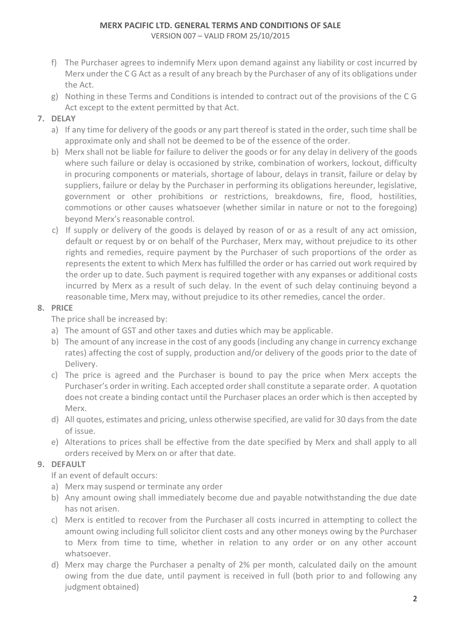- f) The Purchaser agrees to indemnify Merx upon demand against any liability or cost incurred by Merx under the C G Act as a result of any breach by the Purchaser of any of its obligations under the Act.
- g) Nothing in these Terms and Conditions is intended to contract out of the provisions of the C G Act except to the extent permitted by that Act.

# **7. DELAY**

- a) If any time for delivery of the goods or any part thereof is stated in the order, such time shall be approximate only and shall not be deemed to be of the essence of the order.
- b) Merx shall not be liable for failure to deliver the goods or for any delay in delivery of the goods where such failure or delay is occasioned by strike, combination of workers, lockout, difficulty in procuring components or materials, shortage of labour, delays in transit, failure or delay by suppliers, failure or delay by the Purchaser in performing its obligations hereunder, legislative, government or other prohibitions or restrictions, breakdowns, fire, flood, hostilities, commotions or other causes whatsoever (whether similar in nature or not to the foregoing) beyond Merx's reasonable control.
- c) If supply or delivery of the goods is delayed by reason of or as a result of any act omission, default or request by or on behalf of the Purchaser, Merx may, without prejudice to its other rights and remedies, require payment by the Purchaser of such proportions of the order as represents the extent to which Merx has fulfilled the order or has carried out work required by the order up to date. Such payment is required together with any expanses or additional costs incurred by Merx as a result of such delay. In the event of such delay continuing beyond a reasonable time, Merx may, without prejudice to its other remedies, cancel the order.

# **8. PRICE**

The price shall be increased by:

- a) The amount of GST and other taxes and duties which may be applicable.
- b) The amount of any increase in the cost of any goods (including any change in currency exchange rates) affecting the cost of supply, production and/or delivery of the goods prior to the date of Delivery.
- c) The price is agreed and the Purchaser is bound to pay the price when Merx accepts the Purchaser's order in writing. Each accepted order shall constitute a separate order. A quotation does not create a binding contact until the Purchaser places an order which is then accepted by Merx.
- d) All quotes, estimates and pricing, unless otherwise specified, are valid for 30 days from the date of issue.
- e) Alterations to prices shall be effective from the date specified by Merx and shall apply to all orders received by Merx on or after that date.

# **9. DEFAULT**

If an event of default occurs:

- a) Merx may suspend or terminate any order
- b) Any amount owing shall immediately become due and payable notwithstanding the due date has not arisen.
- c) Merx is entitled to recover from the Purchaser all costs incurred in attempting to collect the amount owing including full solicitor client costs and any other moneys owing by the Purchaser to Merx from time to time, whether in relation to any order or on any other account whatsoever.
- d) Merx may charge the Purchaser a penalty of 2% per month, calculated daily on the amount owing from the due date, until payment is received in full (both prior to and following any judgment obtained)